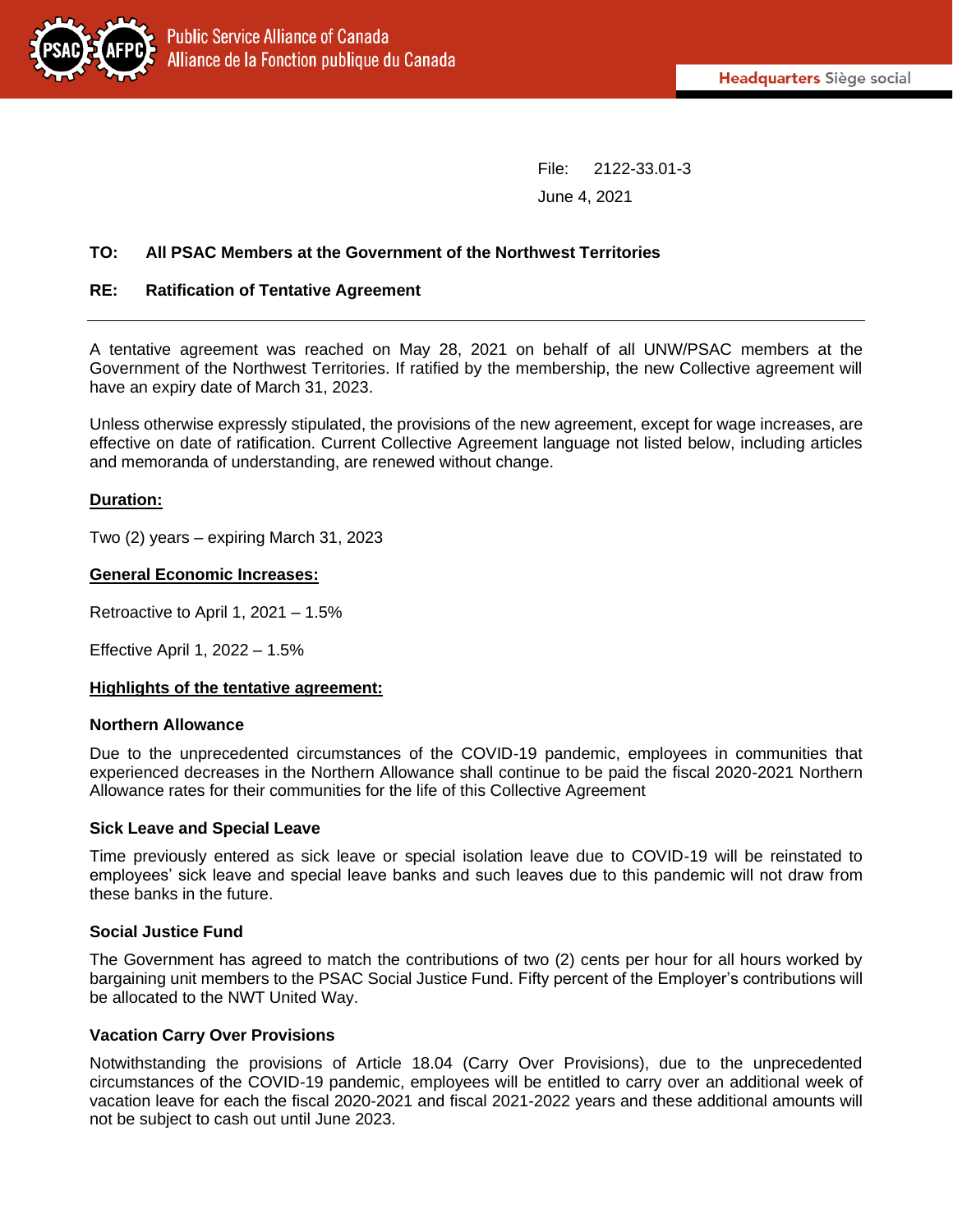File: 2122-33.01-3 June 4, 2021

# **TO: All PSAC Members at the Government of the Northwest Territories**

### **RE: Ratification of Tentative Agreement**

A tentative agreement was reached on May 28, 2021 on behalf of all UNW/PSAC members at the Government of the Northwest Territories. If ratified by the membership, the new Collective agreement will have an expiry date of March 31, 2023.

Unless otherwise expressly stipulated, the provisions of the new agreement, except for wage increases, are effective on date of ratification. Current Collective Agreement language not listed below, including articles and memoranda of understanding, are renewed without change.

## **Duration:**

Two (2) years – expiring March 31, 2023

#### **General Economic Increases:**

Retroactive to April 1, 2021 – 1.5%

Effective April 1, 2022 – 1.5%

#### **Highlights of the tentative agreement:**

#### **Northern Allowance**

Due to the unprecedented circumstances of the COVID-19 pandemic, employees in communities that experienced decreases in the Northern Allowance shall continue to be paid the fiscal 2020-2021 Northern Allowance rates for their communities for the life of this Collective Agreement

#### **Sick Leave and Special Leave**

Time previously entered as sick leave or special isolation leave due to COVID-19 will be reinstated to employees' sick leave and special leave banks and such leaves due to this pandemic will not draw from these banks in the future.

#### **Social Justice Fund**

The Government has agreed to match the contributions of two (2) cents per hour for all hours worked by bargaining unit members to the PSAC Social Justice Fund. Fifty percent of the Employer's contributions will be allocated to the NWT United Way.

#### **Vacation Carry Over Provisions**

Notwithstanding the provisions of Article 18.04 (Carry Over Provisions), due to the unprecedented circumstances of the COVID-19 pandemic, employees will be entitled to carry over an additional week of vacation leave for each the fiscal 2020-2021 and fiscal 2021-2022 years and these additional amounts will not be subject to cash out until June 2023.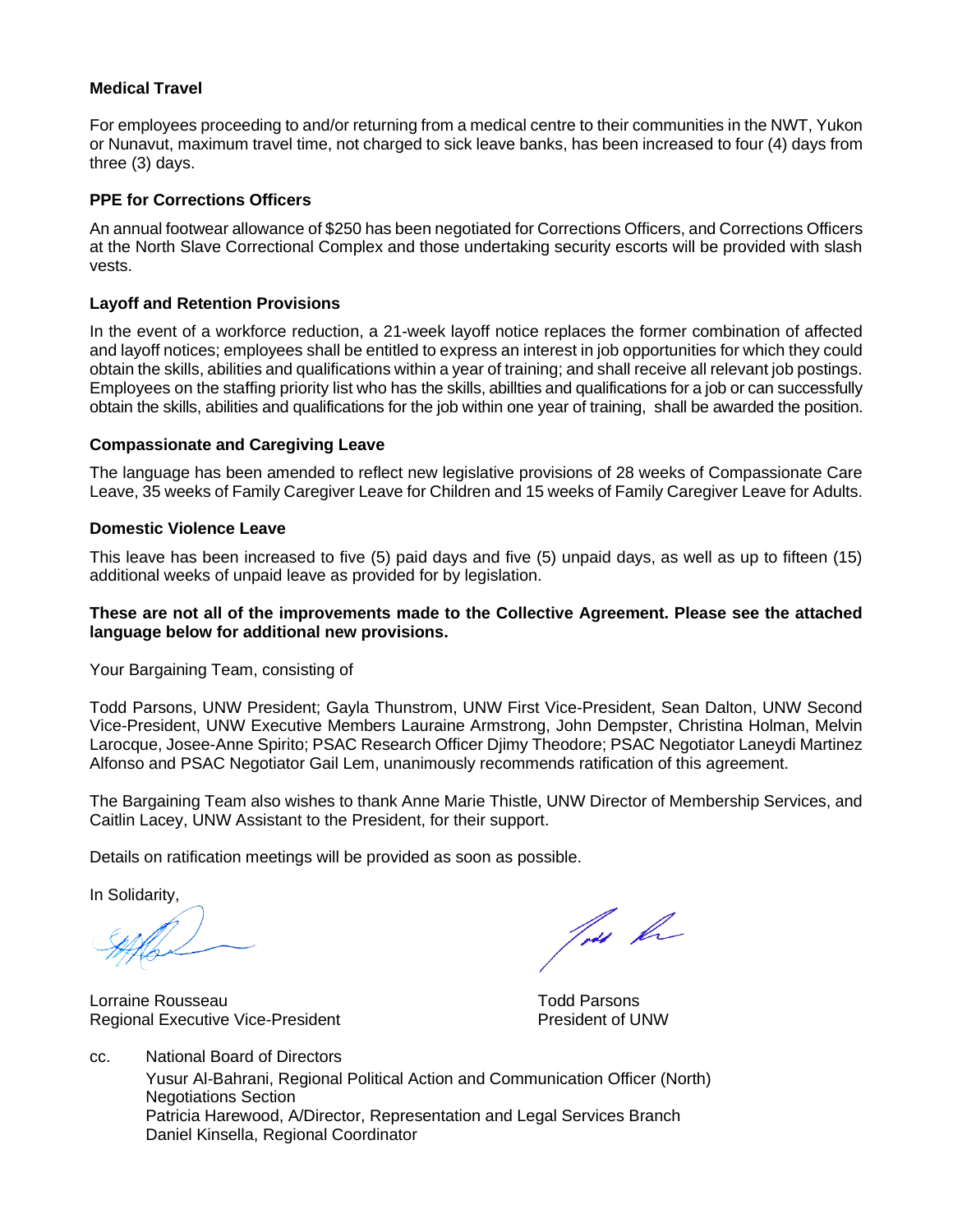#### **Medical Travel**

For employees proceeding to and/or returning from a medical centre to their communities in the NWT, Yukon or Nunavut, maximum travel time, not charged to sick leave banks, has been increased to four (4) days from three (3) days.

### **PPE for Corrections Officers**

An annual footwear allowance of \$250 has been negotiated for Corrections Officers, and Corrections Officers at the North Slave Correctional Complex and those undertaking security escorts will be provided with slash vests.

### **Layoff and Retention Provisions**

In the event of a workforce reduction, a 21-week layoff notice replaces the former combination of affected and layoff notices; employees shall be entitled to express an interest in job opportunities for which they could obtain the skills, abilities and qualifications within a year of training; and shall receive all relevant job postings. Employees on the staffing priority list who has the skills, abillties and qualifications for a job or can successfully obtain the skills, abilities and qualifications for the job within one year of training, shall be awarded the position.

#### **Compassionate and Caregiving Leave**

The language has been amended to reflect new legislative provisions of 28 weeks of Compassionate Care Leave, 35 weeks of Family Caregiver Leave for Children and 15 weeks of Family Caregiver Leave for Adults.

#### **Domestic Violence Leave**

This leave has been increased to five (5) paid days and five (5) unpaid days, as well as up to fifteen (15) additional weeks of unpaid leave as provided for by legislation.

#### **These are not all of the improvements made to the Collective Agreement. Please see the attached language below for additional new provisions.**

Your Bargaining Team, consisting of

Todd Parsons, UNW President; Gayla Thunstrom, UNW First Vice-President, Sean Dalton, UNW Second Vice-President, UNW Executive Members Lauraine Armstrong, John Dempster, Christina Holman, Melvin Larocque, Josee-Anne Spirito; PSAC Research Officer Djimy Theodore; PSAC Negotiator Laneydi Martinez Alfonso and PSAC Negotiator Gail Lem, unanimously recommends ratification of this agreement.

The Bargaining Team also wishes to thank Anne Marie Thistle, UNW Director of Membership Services, and Caitlin Lacey, UNW Assistant to the President, for their support.

Details on ratification meetings will be provided as soon as possible.

In Solidarity,

Lorraine Rousseau **Todd Parsons** Regional Executive Vice-President **President** President of UNW

Toda for

cc. National Board of Directors Yusur Al-Bahrani, Regional Political Action and Communication Officer (North) Negotiations Section Patricia Harewood, A/Director, Representation and Legal Services Branch Daniel Kinsella, Regional Coordinator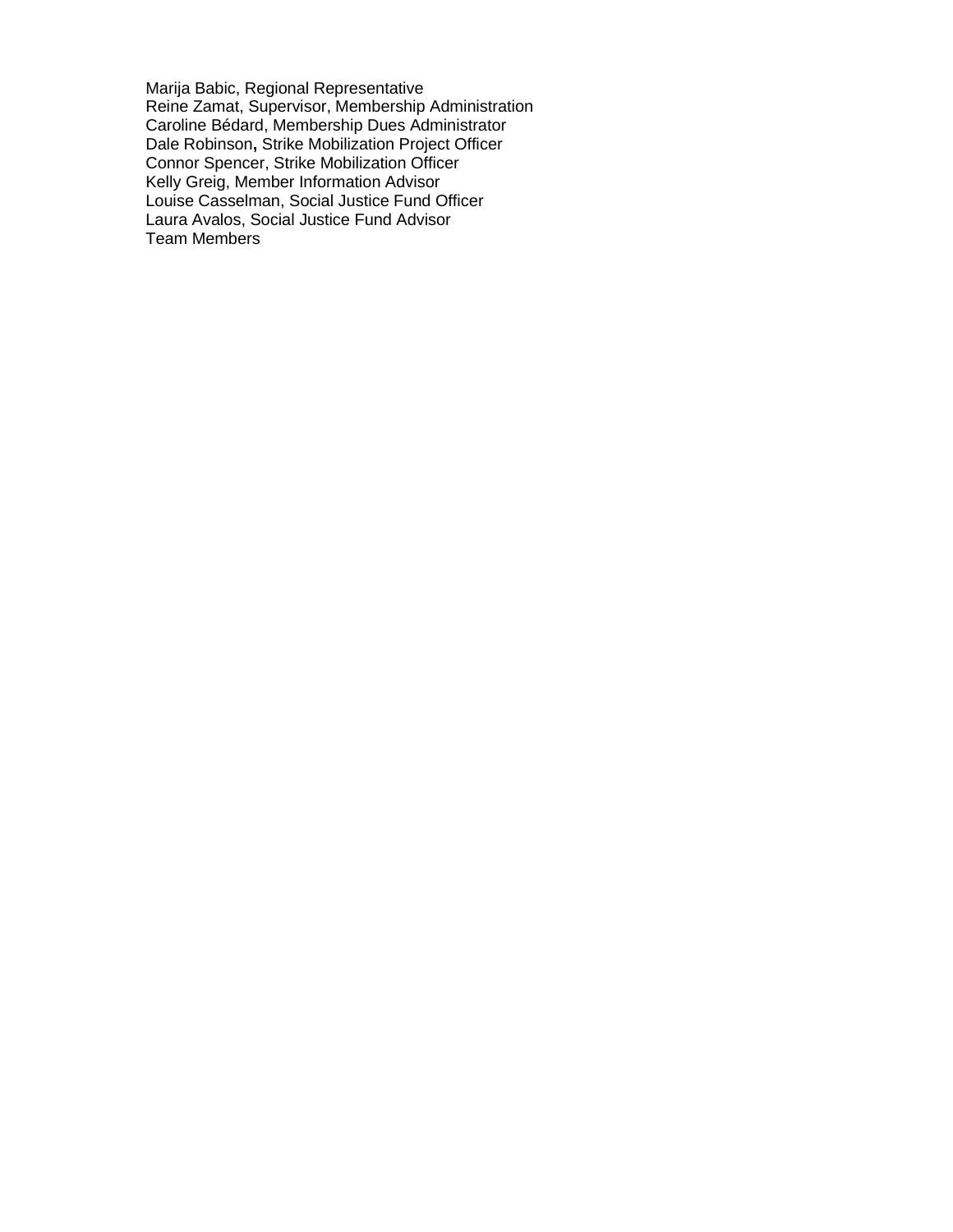Marija Babic, Regional Representative Reine Zamat, Supervisor, Membership Administration Caroline Bédard, Membership Dues Administrator Dale Robinson**,** Strike Mobilization Project Officer Connor Spencer, Strike Mobilization Officer Kelly Greig, Member Information Advisor Louise Casselman, Social Justice Fund Officer Laura Avalos, Social Justice Fund Advisor Team Members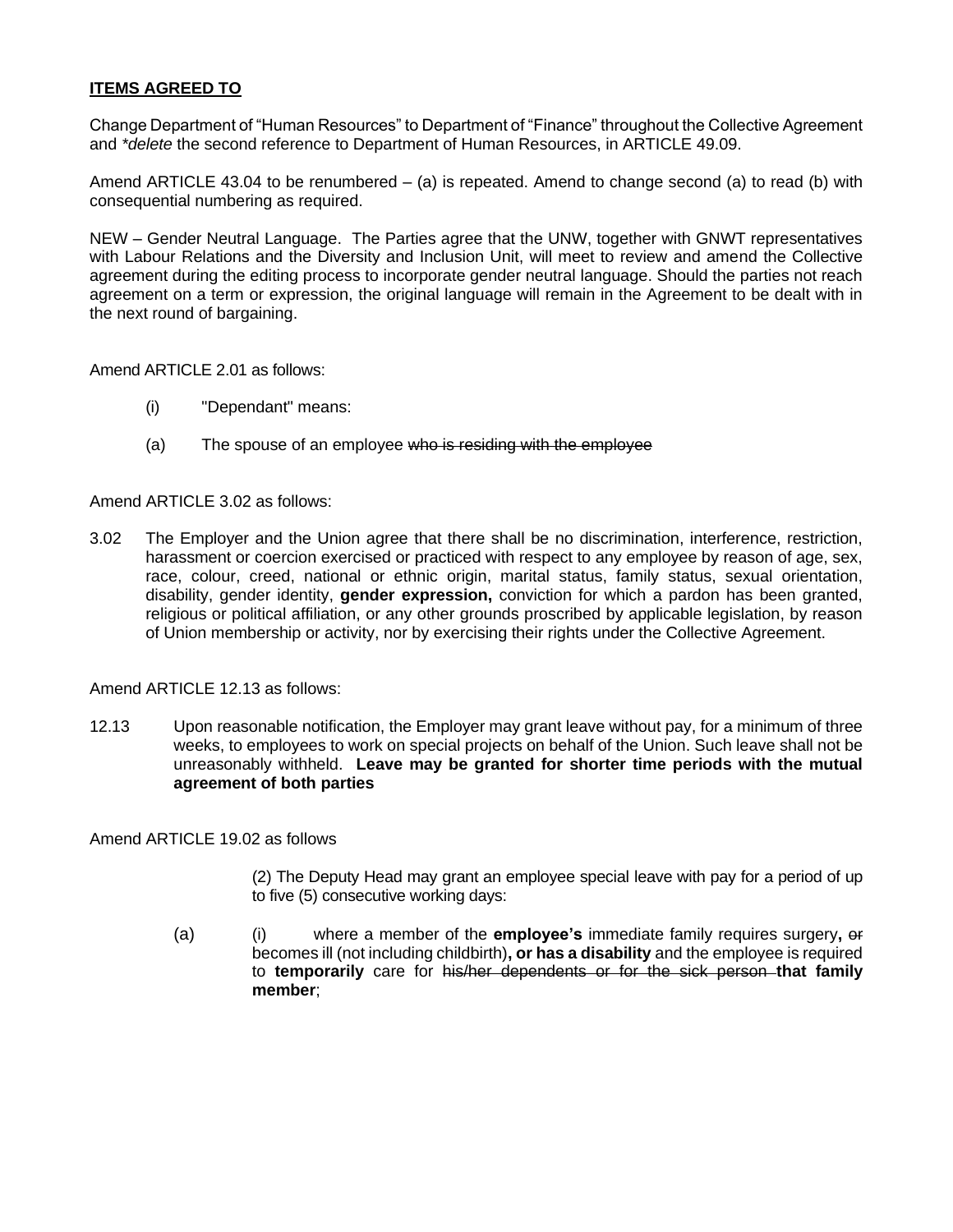# **ITEMS AGREED TO**

Change Department of "Human Resources" to Department of "Finance" throughout the Collective Agreement and *\*delete* the second reference to Department of Human Resources, in ARTICLE 49.09.

Amend ARTICLE 43.04 to be renumbered  $-$  (a) is repeated. Amend to change second (a) to read (b) with consequential numbering as required.

NEW – Gender Neutral Language. The Parties agree that the UNW, together with GNWT representatives with Labour Relations and the Diversity and Inclusion Unit, will meet to review and amend the Collective agreement during the editing process to incorporate gender neutral language. Should the parties not reach agreement on a term or expression, the original language will remain in the Agreement to be dealt with in the next round of bargaining.

Amend ARTICLE 2.01 as follows:

- (i) "Dependant" means:
- (a) The spouse of an employee who is residing with the employee

#### Amend ARTICLE 3.02 as follows:

3.02 The Employer and the Union agree that there shall be no discrimination, interference, restriction, harassment or coercion exercised or practiced with respect to any employee by reason of age, sex, race, colour, creed, national or ethnic origin, marital status, family status, sexual orientation, disability, gender identity, **gender expression,** conviction for which a pardon has been granted, religious or political affiliation, or any other grounds proscribed by applicable legislation, by reason of Union membership or activity, nor by exercising their rights under the Collective Agreement.

Amend ARTICLE 12.13 as follows:

12.13 Upon reasonable notification, the Employer may grant leave without pay, for a minimum of three weeks, to employees to work on special projects on behalf of the Union. Such leave shall not be unreasonably withheld. **Leave may be granted for shorter time periods with the mutual agreement of both parties**

Amend ARTICLE 19.02 as follows

(2) The Deputy Head may grant an employee special leave with pay for a period of up to five (5) consecutive working days:

(a) (i) where a member of the **employee's** immediate family requires surgery**,** or becomes ill (not including childbirth)**, or has a disability** and the employee is required to **temporarily** care for his/her dependents or for the sick person **that family member**;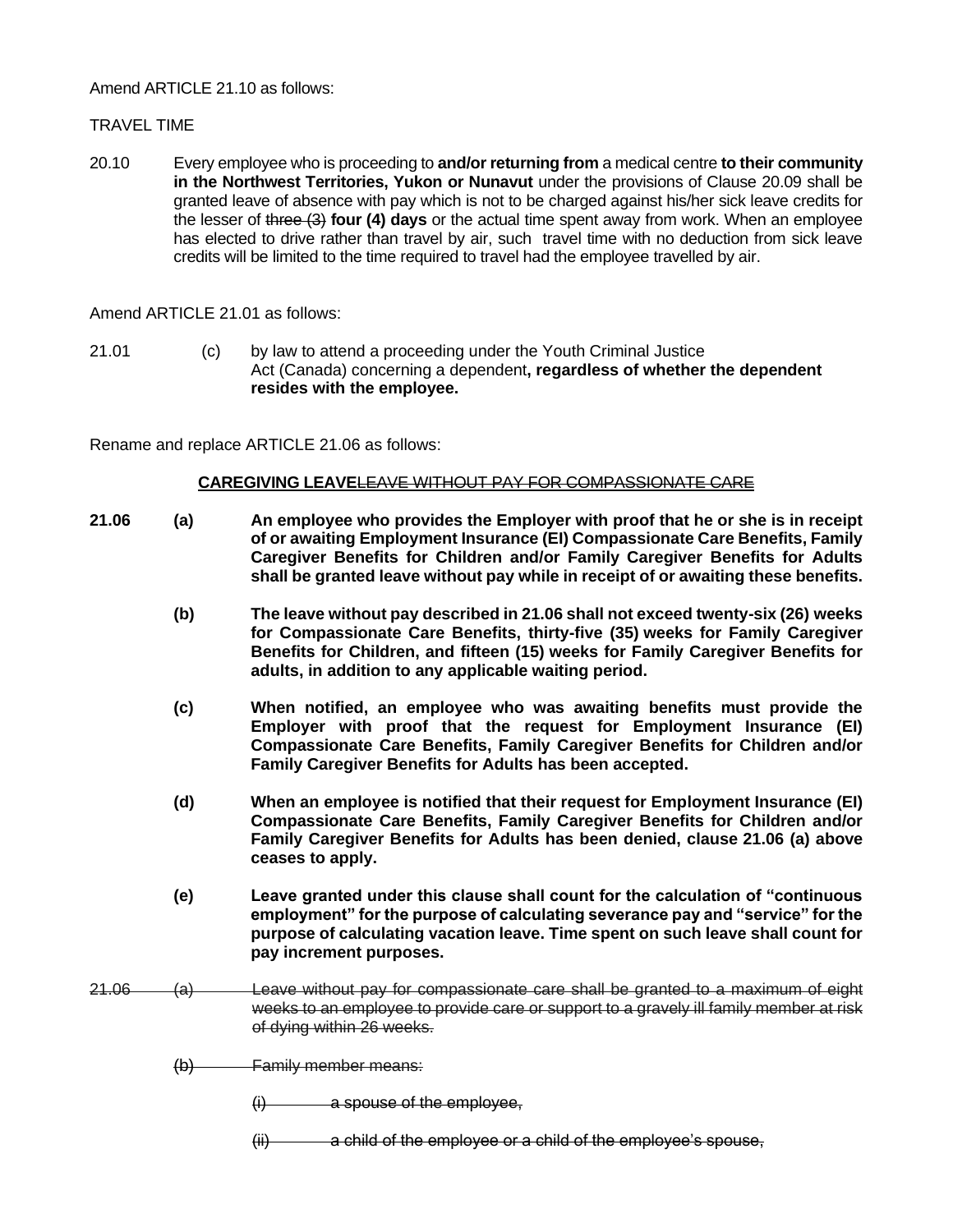### Amend ARTICLE 21.10 as follows:

## TRAVEL TIME

20.10 Every employee who is proceeding to **and/or returning from** a medical centre **to their community in the Northwest Territories, Yukon or Nunavut** under the provisions of Clause 20.09 shall be granted leave of absence with pay which is not to be charged against his/her sick leave credits for the lesser of three (3) **four (4) days** or the actual time spent away from work. When an employee has elected to drive rather than travel by air, such travel time with no deduction from sick leave credits will be limited to the time required to travel had the employee travelled by air.

Amend ARTICLE 21.01 as follows:

21.01 (c) by law to attend a proceeding under the Youth Criminal Justice Act (Canada) concerning a dependent**, regardless of whether the dependent resides with the employee.**

Rename and replace ARTICLE 21.06 as follows:

## **CAREGIVING LEAVELEAVE WITHOUT PAY FOR COMPASSIONATE CARE**

| 21.06 | (a)            | An employee who provides the Employer with proof that he or she is in receipt<br>of or awaiting Employment Insurance (EI) Compassionate Care Benefits, Family<br>Caregiver Benefits for Children and/or Family Caregiver Benefits for Adults<br>shall be granted leave without pay while in receipt of or awaiting these benefits. |
|-------|----------------|------------------------------------------------------------------------------------------------------------------------------------------------------------------------------------------------------------------------------------------------------------------------------------------------------------------------------------|
|       | (b)            | The leave without pay described in 21.06 shall not exceed twenty-six (26) weeks<br>for Compassionate Care Benefits, thirty-five (35) weeks for Family Caregiver<br>Benefits for Children, and fifteen (15) weeks for Family Caregiver Benefits for<br>adults, in addition to any applicable waiting period.                        |
|       | (c)            | When notified, an employee who was awaiting benefits must provide the<br>Employer with proof that the request for Employment Insurance (EI)<br>Compassionate Care Benefits, Family Caregiver Benefits for Children and/or<br>Family Caregiver Benefits for Adults has been accepted.                                               |
|       | (d)            | When an employee is notified that their request for Employment Insurance (EI)<br>Compassionate Care Benefits, Family Caregiver Benefits for Children and/or<br>Family Caregiver Benefits for Adults has been denied, clause 21.06 (a) above<br>ceases to apply.                                                                    |
|       | (e)            | Leave granted under this clause shall count for the calculation of "continuous"<br>employment" for the purpose of calculating severance pay and "service" for the<br>purpose of calculating vacation leave. Time spent on such leave shall count for<br>pay increment purposes.                                                    |
| 21.06 | <del>(a)</del> | Leave without pay for compassionate care shall be granted to a maximum of eight<br>weeks to an employee to provide care or support to a gravely ill family member at risk<br>of dying within 26 weeks.                                                                                                                             |
|       | $\Theta$       | <b>Family member means:</b>                                                                                                                                                                                                                                                                                                        |
|       |                | a spouse of the employee,<br>$\theta$                                                                                                                                                                                                                                                                                              |

 $(iii)$  a child of the employee or a child of the employee's spouse,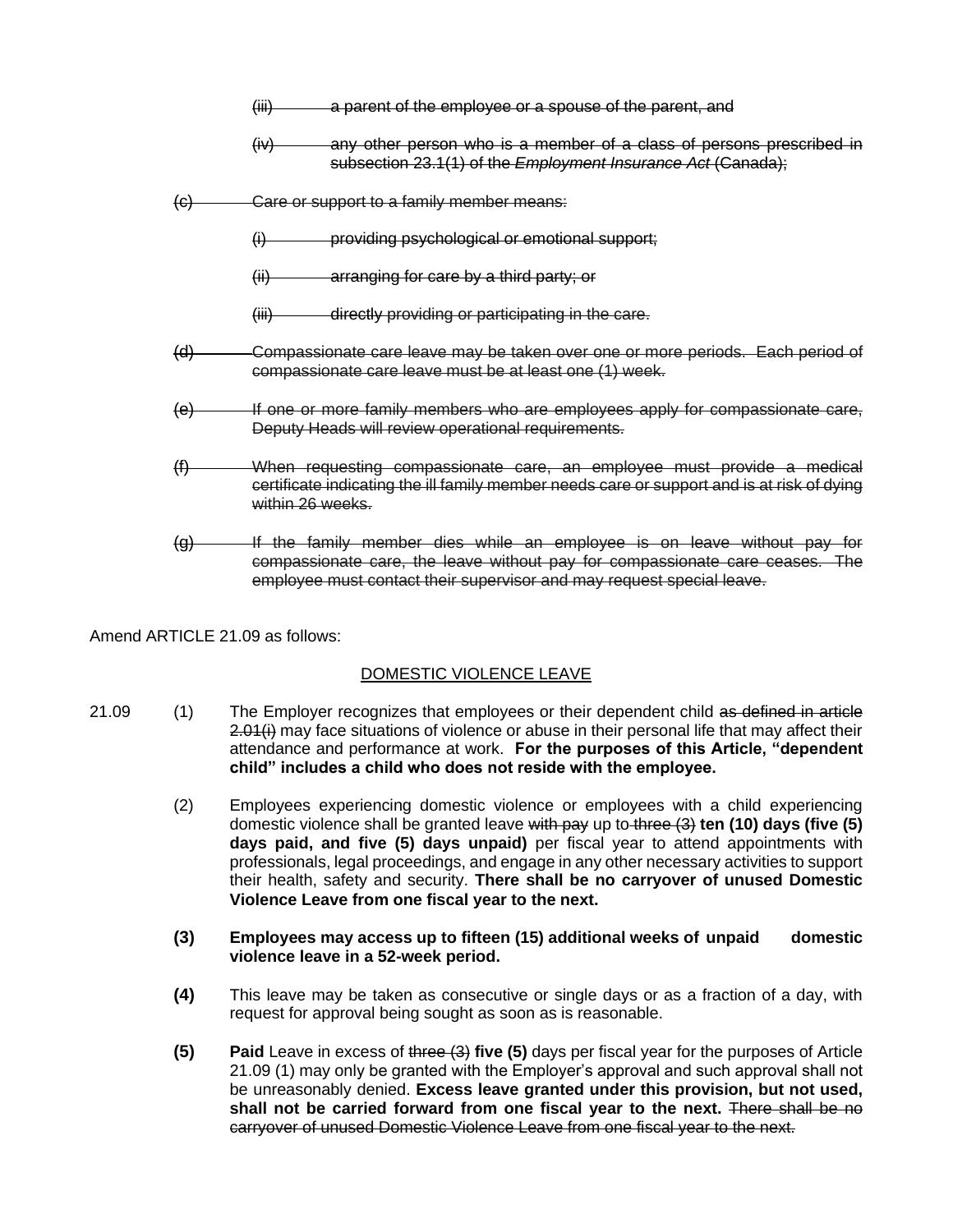- (iii) a parent of the employee or a spouse of the parent, and
- (iv) any other person who is a member of a class of persons prescribed in subsection 23.1(1) of the *Employment Insurance Act* (Canada);
- (c) Care or support to a family member means:
	- (i) providing psychological or emotional support;
	- (ii) arranging for care by a third party; or
	- (iii) directly providing or participating in the care.
- (d) Compassionate care leave may be taken over one or more periods. Each period of compassionate care leave must be at least one (1) week.
- (e) If one or more family members who are employees apply for compassionate care, Deputy Heads will review operational requirements.
- (f) When requesting compassionate care, an employee must provide a medical certificate indicating the ill family member needs care or support and is at risk of dying within 26 weeks.
- (g) If the family member dies while an employee is on leave without pay for compassionate care, the leave without pay for compassionate care ceases. The employee must contact their supervisor and may request special leave.

Amend ARTICLE 21.09 as follows:

## DOMESTIC VIOLENCE LEAVE

- 21.09 (1) The Employer recognizes that employees or their dependent child as defined in article 2.01(i) may face situations of violence or abuse in their personal life that may affect their attendance and performance at work. **For the purposes of this Article, "dependent child" includes a child who does not reside with the employee.** 
	- (2) Employees experiencing domestic violence or employees with a child experiencing domestic violence shall be granted leave with pay up to three (3) **ten (10) days (five (5) days paid, and five (5) days unpaid)** per fiscal year to attend appointments with professionals, legal proceedings, and engage in any other necessary activities to support their health, safety and security. **There shall be no carryover of unused Domestic Violence Leave from one fiscal year to the next.**
	- **(3) Employees may access up to fifteen (15) additional weeks of unpaid domestic violence leave in a 52-week period.**
	- **(4)** This leave may be taken as consecutive or single days or as a fraction of a day, with request for approval being sought as soon as is reasonable.
	- **(5) Paid** Leave in excess of three (3) **five (5)** days per fiscal year for the purposes of Article 21.09 (1) may only be granted with the Employer's approval and such approval shall not be unreasonably denied. **Excess leave granted under this provision, but not used, shall not be carried forward from one fiscal year to the next.** There shall be no carryover of unused Domestic Violence Leave from one fiscal year to the next.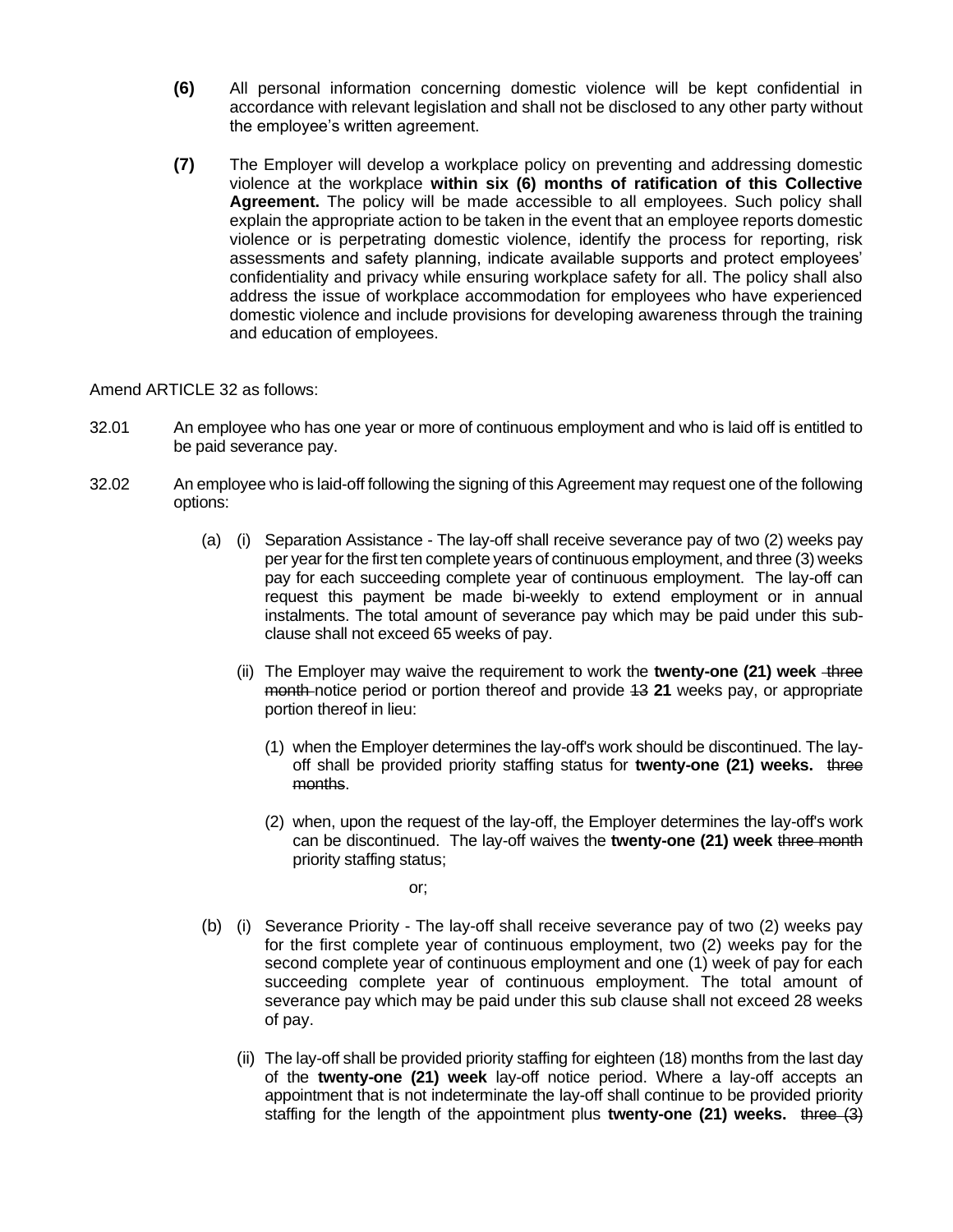- **(6)** All personal information concerning domestic violence will be kept confidential in accordance with relevant legislation and shall not be disclosed to any other party without the employee's written agreement.
- **(7)** The Employer will develop a workplace policy on preventing and addressing domestic violence at the workplace **within six (6) months of ratification of this Collective Agreement.** The policy will be made accessible to all employees. Such policy shall explain the appropriate action to be taken in the event that an employee reports domestic violence or is perpetrating domestic violence, identify the process for reporting, risk assessments and safety planning, indicate available supports and protect employees' confidentiality and privacy while ensuring workplace safety for all. The policy shall also address the issue of workplace accommodation for employees who have experienced domestic violence and include provisions for developing awareness through the training and education of employees.

## Amend ARTICLE 32 as follows:

- 32.01 An employee who has one year or more of continuous employment and who is laid off is entitled to be paid severance pay.
- 32.02 An employee who is laid-off following the signing of this Agreement may request one of the following options:
	- (a) (i) Separation Assistance The lay-off shall receive severance pay of two (2) weeks pay per year for the first ten complete years of continuous employment, and three (3) weeks pay for each succeeding complete year of continuous employment. The lay-off can request this payment be made bi-weekly to extend employment or in annual instalments. The total amount of severance pay which may be paid under this subclause shall not exceed 65 weeks of pay.
		- (ii) The Employer may waive the requirement to work the **twenty-one (21) week** three month notice period or portion thereof and provide 13 **21** weeks pay, or appropriate portion thereof in lieu:
			- (1) when the Employer determines the lay-off's work should be discontinued. The layoff shall be provided priority staffing status for **twenty-one (21) weeks.** three months.
			- (2) when, upon the request of the lay-off, the Employer determines the lay-off's work can be discontinued. The lay-off waives the **twenty-one (21) week** three month priority staffing status;

or;

- (b) (i) Severance Priority The lay-off shall receive severance pay of two (2) weeks pay for the first complete year of continuous employment, two (2) weeks pay for the second complete year of continuous employment and one (1) week of pay for each succeeding complete year of continuous employment. The total amount of severance pay which may be paid under this sub clause shall not exceed 28 weeks of pay.
	- (ii) The lay-off shall be provided priority staffing for eighteen (18) months from the last day of the **twenty-one (21) week** lay-off notice period. Where a lay-off accepts an appointment that is not indeterminate the lay-off shall continue to be provided priority staffing for the length of the appointment plus **twenty-one (21) weeks.** three (3)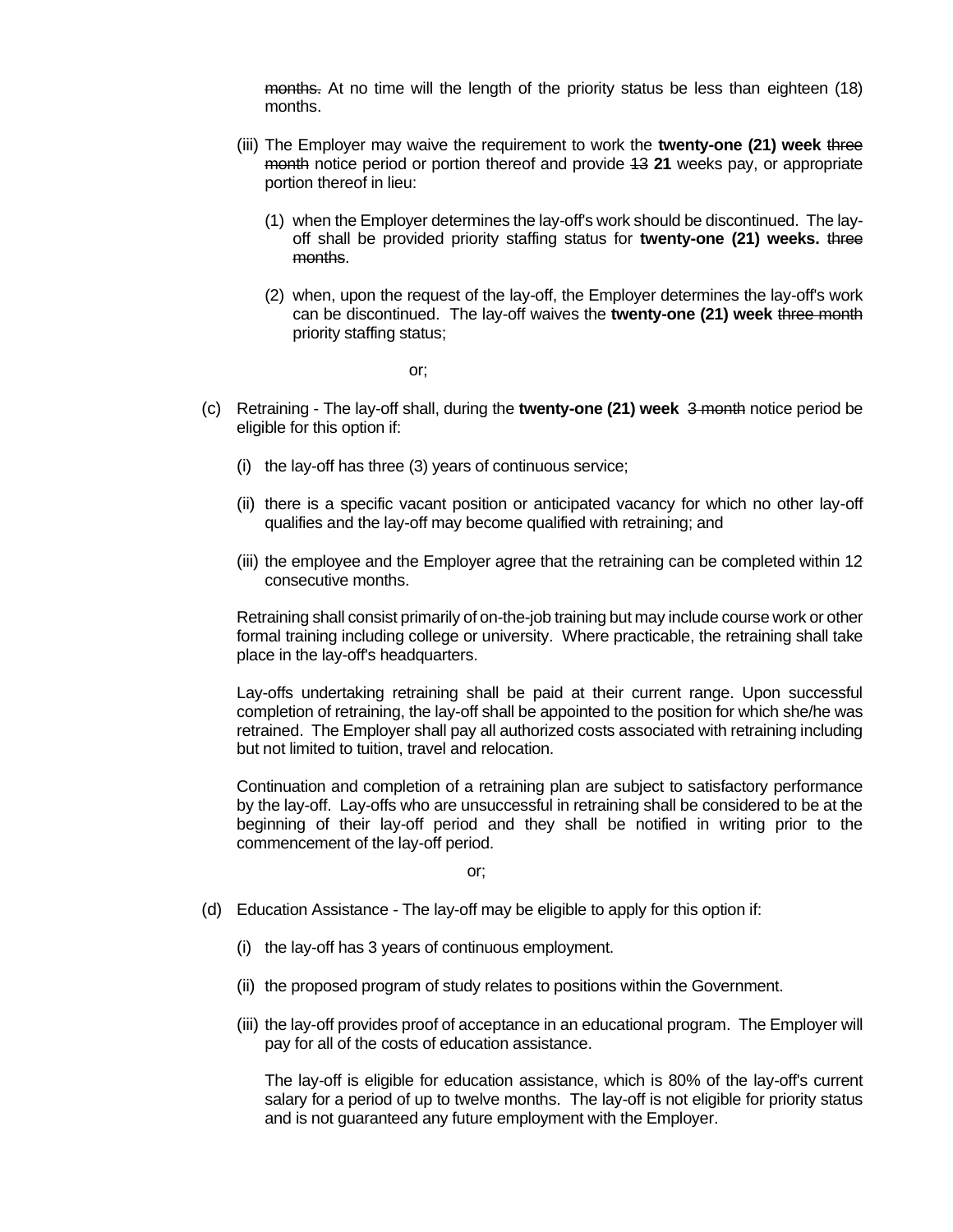months. At no time will the length of the priority status be less than eighteen (18) months.

- (iii) The Employer may waive the requirement to work the **twenty-one (21) week** three month notice period or portion thereof and provide 13 **21** weeks pay, or appropriate portion thereof in lieu:
	- (1) when the Employer determines the lay-off's work should be discontinued. The layoff shall be provided priority staffing status for **twenty-one (21) weeks.** three months.
	- (2) when, upon the request of the lay-off, the Employer determines the lay-off's work can be discontinued. The lay-off waives the **twenty-one (21) week** three month priority staffing status;

or;

- (c) Retraining The lay-off shall, during the **twenty-one (21) week** 3 month notice period be eligible for this option if:
	- (i) the lay-off has three (3) years of continuous service;
	- (ii) there is a specific vacant position or anticipated vacancy for which no other lay-off qualifies and the lay-off may become qualified with retraining; and
	- (iii) the employee and the Employer agree that the retraining can be completed within 12 consecutive months.

Retraining shall consist primarily of on-the-job training but may include course work or other formal training including college or university. Where practicable, the retraining shall take place in the lay-off's headquarters.

Lay-offs undertaking retraining shall be paid at their current range. Upon successful completion of retraining, the lay-off shall be appointed to the position for which she/he was retrained. The Employer shall pay all authorized costs associated with retraining including but not limited to tuition, travel and relocation.

Continuation and completion of a retraining plan are subject to satisfactory performance by the lay-off. Lay-offs who are unsuccessful in retraining shall be considered to be at the beginning of their lay-off period and they shall be notified in writing prior to the commencement of the lay-off period.

or;

- (d) Education Assistance The lay-off may be eligible to apply for this option if:
	- (i) the lay-off has 3 years of continuous employment.
	- (ii) the proposed program of study relates to positions within the Government.
	- (iii) the lay-off provides proof of acceptance in an educational program. The Employer will pay for all of the costs of education assistance.

The lay-off is eligible for education assistance, which is 80% of the lay-off's current salary for a period of up to twelve months. The lay-off is not eligible for priority status and is not guaranteed any future employment with the Employer.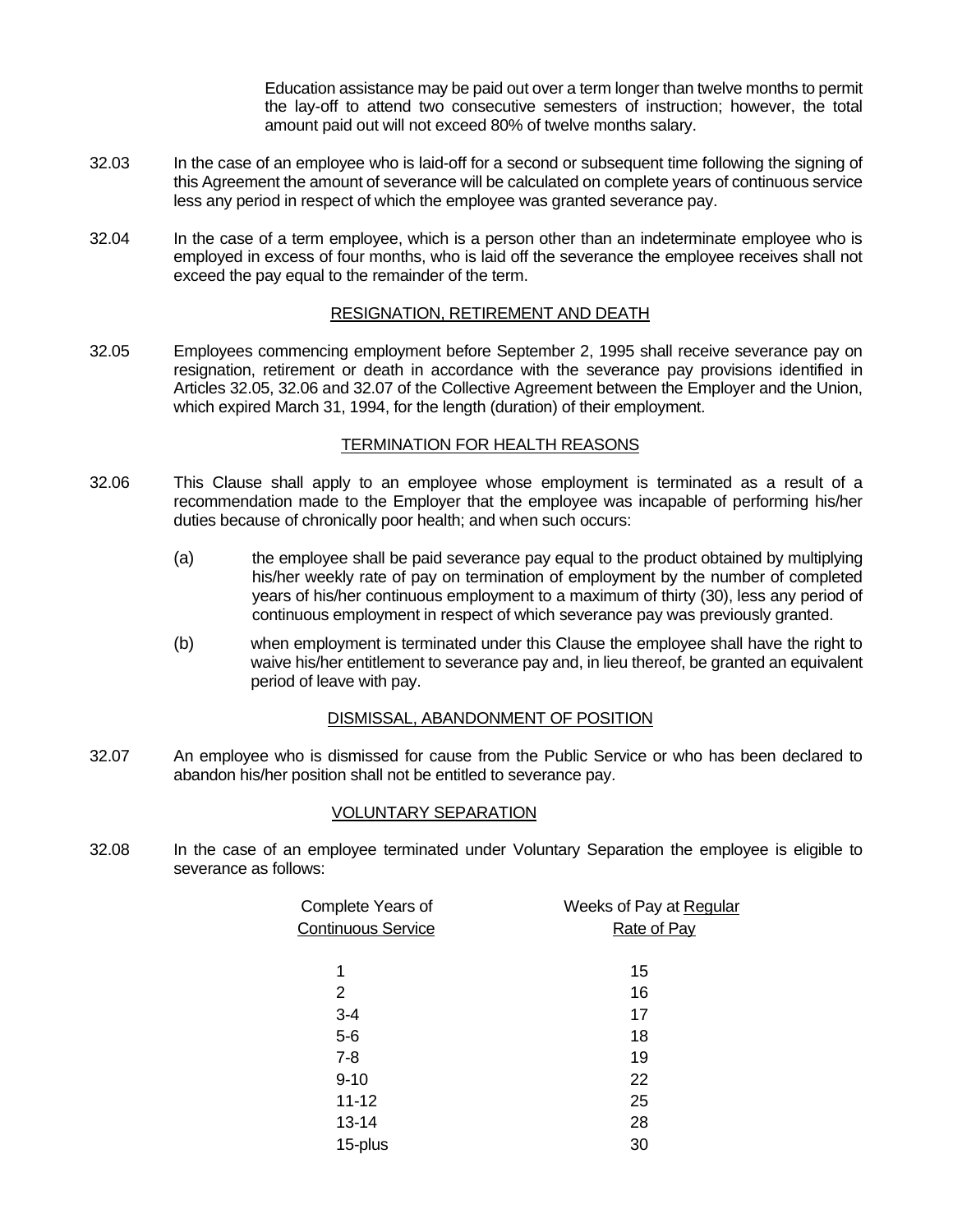Education assistance may be paid out over a term longer than twelve months to permit the lay-off to attend two consecutive semesters of instruction; however, the total amount paid out will not exceed 80% of twelve months salary.

- 32.03 In the case of an employee who is laid-off for a second or subsequent time following the signing of this Agreement the amount of severance will be calculated on complete years of continuous service less any period in respect of which the employee was granted severance pay.
- 32.04 In the case of a term employee, which is a person other than an indeterminate employee who is employed in excess of four months, who is laid off the severance the employee receives shall not exceed the pay equal to the remainder of the term.

# RESIGNATION, RETIREMENT AND DEATH

32.05 Employees commencing employment before September 2, 1995 shall receive severance pay on resignation, retirement or death in accordance with the severance pay provisions identified in Articles 32.05, 32.06 and 32.07 of the Collective Agreement between the Employer and the Union, which expired March 31, 1994, for the length (duration) of their employment.

## TERMINATION FOR HEALTH REASONS

- 32.06 This Clause shall apply to an employee whose employment is terminated as a result of a recommendation made to the Employer that the employee was incapable of performing his/her duties because of chronically poor health; and when such occurs:
	- (a) the employee shall be paid severance pay equal to the product obtained by multiplying his/her weekly rate of pay on termination of employment by the number of completed years of his/her continuous employment to a maximum of thirty (30), less any period of continuous employment in respect of which severance pay was previously granted.
	- (b) when employment is terminated under this Clause the employee shall have the right to waive his/her entitlement to severance pay and, in lieu thereof, be granted an equivalent period of leave with pay.

## DISMISSAL, ABANDONMENT OF POSITION

32.07 An employee who is dismissed for cause from the Public Service or who has been declared to abandon his/her position shall not be entitled to severance pay.

## VOLUNTARY SEPARATION

32.08 In the case of an employee terminated under Voluntary Separation the employee is eligible to severance as follows:

| Complete Years of         | Weeks of Pay at Regular |
|---------------------------|-------------------------|
| <b>Continuous Service</b> | <b>Rate of Pay</b>      |
|                           |                         |
| 1                         | 15                      |
| 2                         | 16                      |
| $3 - 4$                   | 17                      |
| $5-6$                     | 18                      |
| $7 - 8$                   | 19                      |
| $9 - 10$                  | 22                      |
| $11 - 12$                 | 25                      |
| 13-14                     | 28                      |
| 15-plus                   | 30                      |
|                           |                         |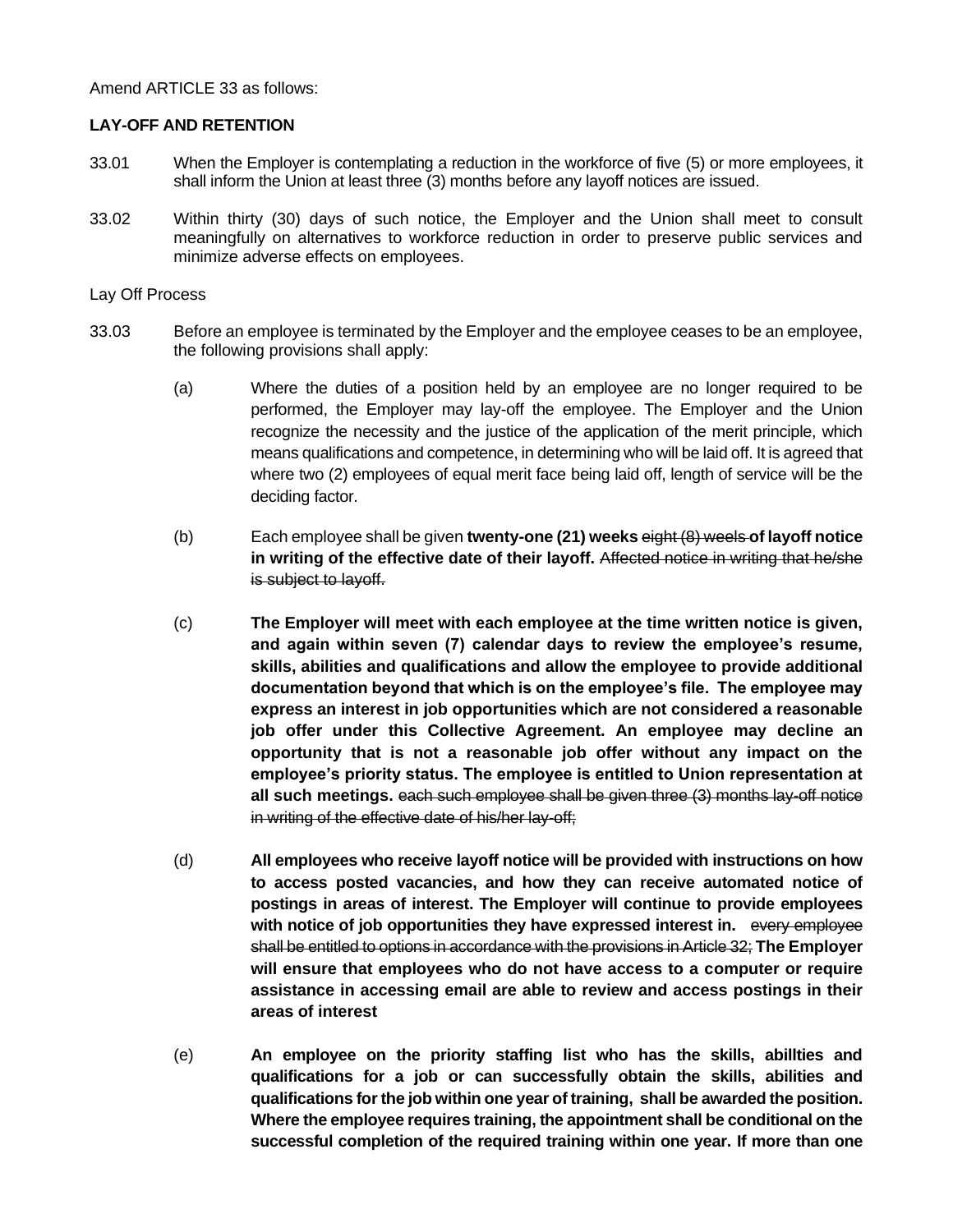Amend ARTICLE 33 as follows:

# **LAY-OFF AND RETENTION**

- 33.01 When the Employer is contemplating a reduction in the workforce of five (5) or more employees, it shall inform the Union at least three (3) months before any layoff notices are issued.
- 33.02 Within thirty (30) days of such notice, the Employer and the Union shall meet to consult meaningfully on alternatives to workforce reduction in order to preserve public services and minimize adverse effects on employees.

## Lay Off Process

- 33.03 Before an employee is terminated by the Employer and the employee ceases to be an employee, the following provisions shall apply:
	- (a) Where the duties of a position held by an employee are no longer required to be performed, the Employer may lay-off the employee. The Employer and the Union recognize the necessity and the justice of the application of the merit principle, which means qualifications and competence, in determining who will be laid off. It is agreed that where two (2) employees of equal merit face being laid off, length of service will be the deciding factor.
	- (b) Each employee shall be given **twenty-one (21) weeks** eight (8) weels **of layoff notice in writing of the effective date of their layoff.** Affected notice in writing that he/she is subject to layoff.
	- (c) **The Employer will meet with each employee at the time written notice is given, and again within seven (7) calendar days to review the employee's resume, skills, abilities and qualifications and allow the employee to provide additional documentation beyond that which is on the employee's file. The employee may express an interest in job opportunities which are not considered a reasonable job offer under this Collective Agreement. An employee may decline an opportunity that is not a reasonable job offer without any impact on the employee's priority status. The employee is entitled to Union representation at all such meetings.** each such employee shall be given three (3) months lay-off notice in writing of the effective date of his/her lay-off;
	- (d) **All employees who receive layoff notice will be provided with instructions on how to access posted vacancies, and how they can receive automated notice of postings in areas of interest. The Employer will continue to provide employees with notice of job opportunities they have expressed interest in.** every employee shall be entitled to options in accordance with the provisions in Article 32; **The Employer will ensure that employees who do not have access to a computer or require assistance in accessing email are able to review and access postings in their areas of interest**
	- (e) **An employee on the priority staffing list who has the skills, abillties and qualifications for a job or can successfully obtain the skills, abilities and qualifications for the job within one year of training, shall be awarded the position. Where the employee requires training, the appointment shall be conditional on the successful completion of the required training within one year. If more than one**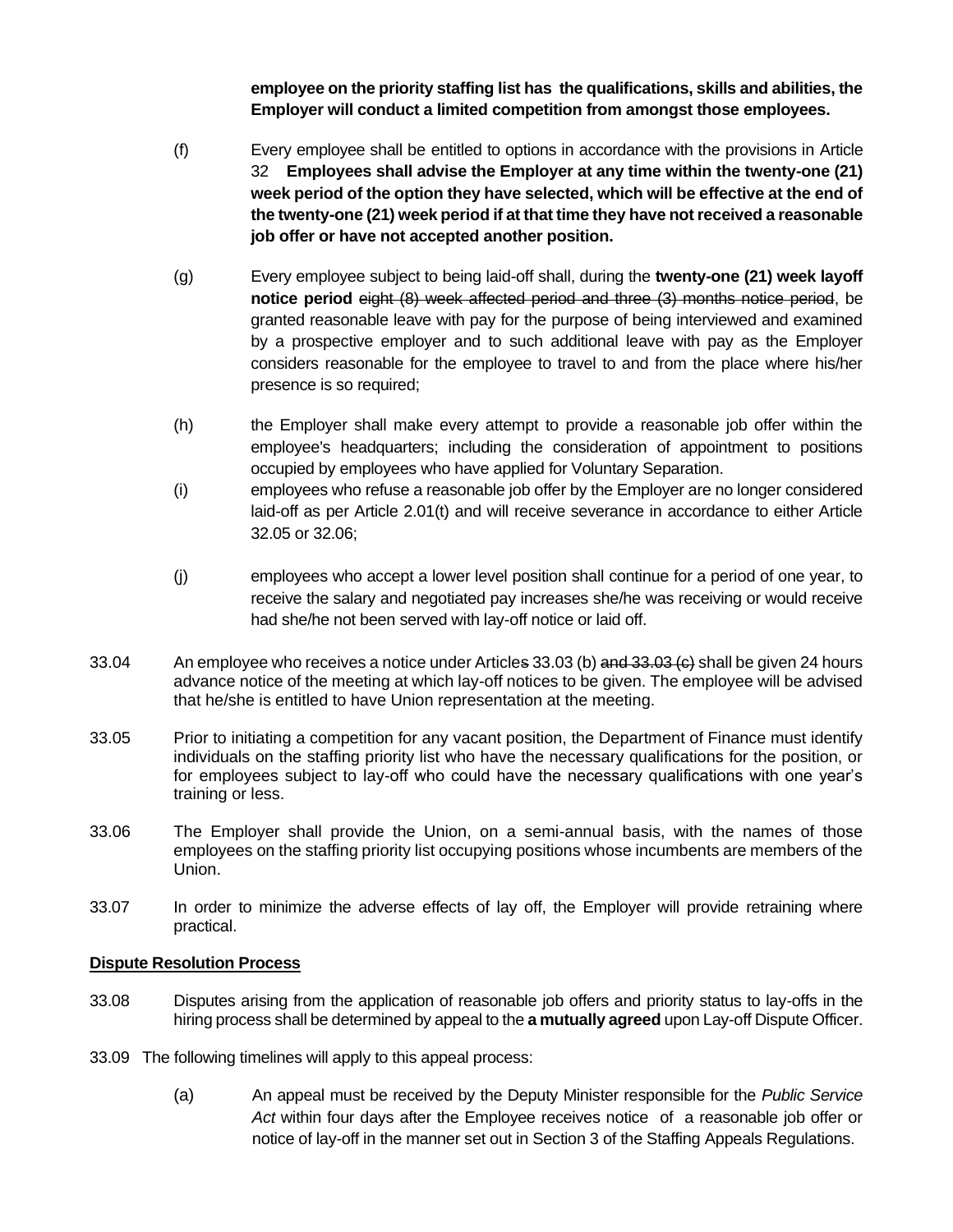**employee on the priority staffing list has the qualifications, skills and abilities, the Employer will conduct a limited competition from amongst those employees.**

- (f) Every employee shall be entitled to options in accordance with the provisions in Article 32 **Employees shall advise the Employer at any time within the twenty-one (21) week period of the option they have selected, which will be effective at the end of the twenty-one (21) week period if at that time they have not received a reasonable job offer or have not accepted another position.**
- (g) Every employee subject to being laid-off shall, during the **twenty-one (21) week layoff notice period** eight (8) week affected period and three (3) months notice period, be granted reasonable leave with pay for the purpose of being interviewed and examined by a prospective employer and to such additional leave with pay as the Employer considers reasonable for the employee to travel to and from the place where his/her presence is so required;
- (h) the Employer shall make every attempt to provide a reasonable job offer within the employee's headquarters; including the consideration of appointment to positions occupied by employees who have applied for Voluntary Separation.
- (i) employees who refuse a reasonable job offer by the Employer are no longer considered laid-off as per Article 2.01(t) and will receive severance in accordance to either Article 32.05 or 32.06;
- (j) employees who accept a lower level position shall continue for a period of one year, to receive the salary and negotiated pay increases she/he was receiving or would receive had she/he not been served with lay-off notice or laid off.
- 33.04 An employee who receives a notice under Articles 33.03 (b) and 33.03 (e) shall be given 24 hours advance notice of the meeting at which lay-off notices to be given. The employee will be advised that he/she is entitled to have Union representation at the meeting.
- 33.05 Prior to initiating a competition for any vacant position, the Department of Finance must identify individuals on the staffing priority list who have the necessary qualifications for the position, or for employees subject to lay-off who could have the necessary qualifications with one year's training or less.
- 33.06 The Employer shall provide the Union, on a semi-annual basis, with the names of those employees on the staffing priority list occupying positions whose incumbents are members of the Union.
- 33.07 In order to minimize the adverse effects of lay off, the Employer will provide retraining where practical.

## **Dispute Resolution Process**

- 33.08 Disputes arising from the application of reasonable job offers and priority status to lay-offs in the hiring process shall be determined by appeal to the **a mutually agreed** upon Lay-off Dispute Officer.
- 33.09 The following timelines will apply to this appeal process:
	- (a) An appeal must be received by the Deputy Minister responsible for the *Public Service Act* within four days after the Employee receives notice of a reasonable job offer or notice of lay-off in the manner set out in Section 3 of the Staffing Appeals Regulations.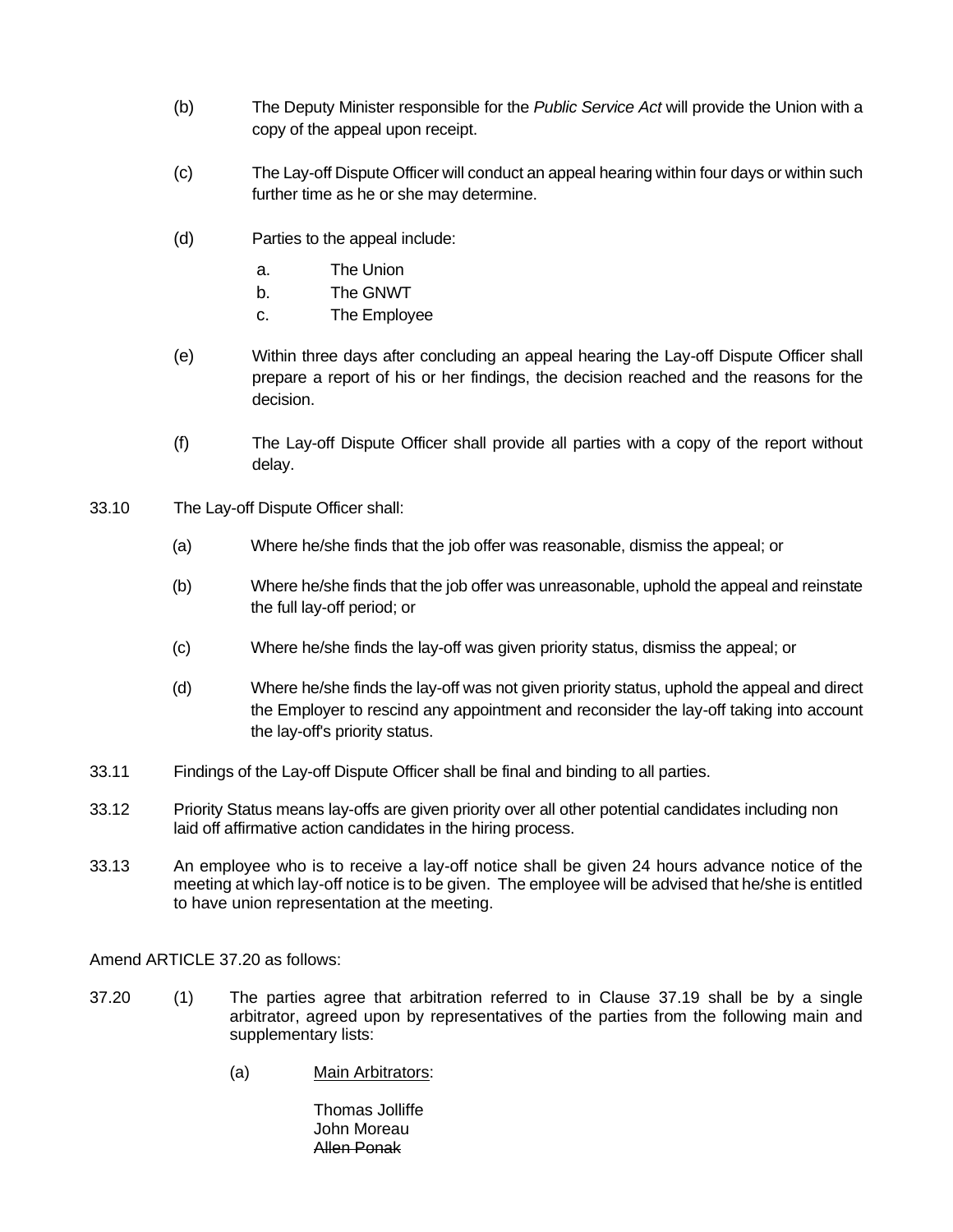- (b) The Deputy Minister responsible for the *Public Service Act* will provide the Union with a copy of the appeal upon receipt.
- (c) The Lay-off Dispute Officer will conduct an appeal hearing within four days or within such further time as he or she may determine.
- (d) Parties to the appeal include:
	- a. The Union
	- b. The GNWT
	- c. The Employee
- (e) Within three days after concluding an appeal hearing the Lay-off Dispute Officer shall prepare a report of his or her findings, the decision reached and the reasons for the decision.
- (f) The Lay-off Dispute Officer shall provide all parties with a copy of the report without delay.
- 33.10 The Lay-off Dispute Officer shall:
	- (a) Where he/she finds that the job offer was reasonable, dismiss the appeal; or
	- (b) Where he/she finds that the job offer was unreasonable, uphold the appeal and reinstate the full lay-off period; or
	- (c) Where he/she finds the lay-off was given priority status, dismiss the appeal; or
	- (d) Where he/she finds the lay-off was not given priority status, uphold the appeal and direct the Employer to rescind any appointment and reconsider the lay-off taking into account the lay-off's priority status.
- 33.11 Findings of the Lay-off Dispute Officer shall be final and binding to all parties.
- 33.12 Priority Status means lay-offs are given priority over all other potential candidates including non laid off affirmative action candidates in the hiring process.
- 33.13 An employee who is to receive a lay-off notice shall be given 24 hours advance notice of the meeting at which lay-off notice is to be given. The employee will be advised that he/she is entitled to have union representation at the meeting.

Amend ARTICLE 37.20 as follows:

- 37.20 (1) The parties agree that arbitration referred to in Clause 37.19 shall be by a single arbitrator, agreed upon by representatives of the parties from the following main and supplementary lists:
	- (a) Main Arbitrators:

Thomas Jolliffe John Moreau Allen Ponak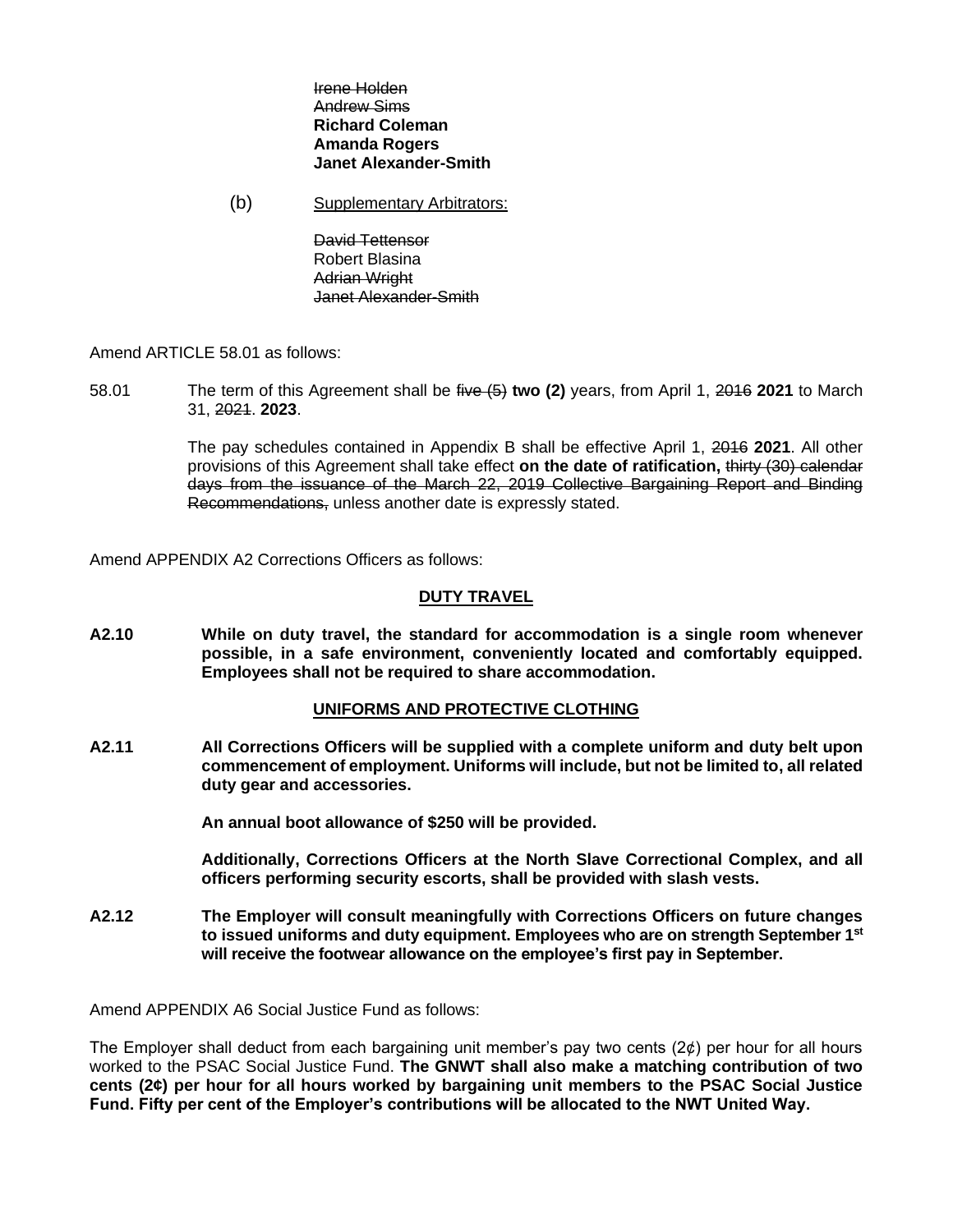#### Irene Holden Andrew Sims **Richard Coleman Amanda Rogers Janet Alexander-Smith**

(b) Supplementary Arbitrators:

David Tettensor Robert Blasina Adrian Wright Janet Alexander-Smith

Amend ARTICLE 58.01 as follows:

58.01 The term of this Agreement shall be five (5) **two (2)** years, from April 1, 2016 **2021** to March 31, 2021. **2023**.

> The pay schedules contained in Appendix B shall be effective April 1, 2016 **2021**. All other provisions of this Agreement shall take effect **on the date of ratification,** thirty (30) calendar days from the issuance of the March 22, 2019 Collective Bargaining Report and Binding Recommendations, unless another date is expressly stated.

Amend APPENDIX A2 Corrections Officers as follows:

## **DUTY TRAVEL**

**A2.10 While on duty travel, the standard for accommodation is a single room whenever possible, in a safe environment, conveniently located and comfortably equipped. Employees shall not be required to share accommodation.**

#### **UNIFORMS AND PROTECTIVE CLOTHING**

**A2.11 All Corrections Officers will be supplied with a complete uniform and duty belt upon commencement of employment. Uniforms will include, but not be limited to, all related duty gear and accessories.**

**An annual boot allowance of \$250 will be provided.**

**Additionally, Corrections Officers at the North Slave Correctional Complex, and all officers performing security escorts, shall be provided with slash vests.**

**A2.12 The Employer will consult meaningfully with Corrections Officers on future changes to issued uniforms and duty equipment. Employees who are on strength September 1st will receive the footwear allowance on the employee's first pay in September.**

Amend APPENDIX A6 Social Justice Fund as follows:

The Employer shall deduct from each bargaining unit member's pay two cents  $(2\phi)$  per hour for all hours worked to the PSAC Social Justice Fund. **The GNWT shall also make a matching contribution of two cents (2¢) per hour for all hours worked by bargaining unit members to the PSAC Social Justice Fund. Fifty per cent of the Employer's contributions will be allocated to the NWT United Way.**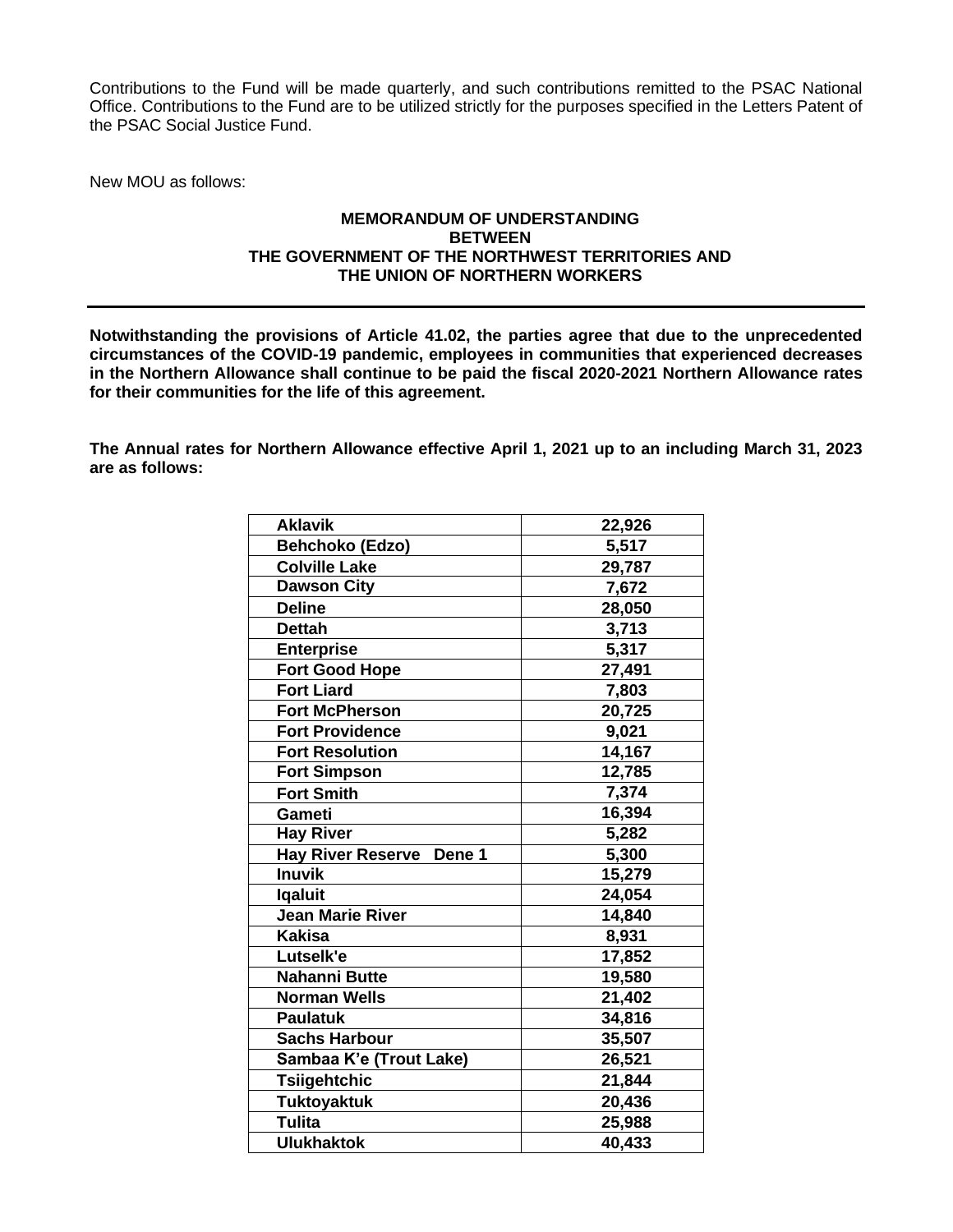Contributions to the Fund will be made quarterly, and such contributions remitted to the PSAC National Office. Contributions to the Fund are to be utilized strictly for the purposes specified in the Letters Patent of the PSAC Social Justice Fund.

New MOU as follows:

## **MEMORANDUM OF UNDERSTANDING BETWEEN THE GOVERNMENT OF THE NORTHWEST TERRITORIES AND THE UNION OF NORTHERN WORKERS**

**Notwithstanding the provisions of Article 41.02, the parties agree that due to the unprecedented circumstances of the COVID-19 pandemic, employees in communities that experienced decreases in the Northern Allowance shall continue to be paid the fiscal 2020-2021 Northern Allowance rates for their communities for the life of this agreement.**

**The Annual rates for Northern Allowance effective April 1, 2021 up to an including March 31, 2023 are as follows:**

| <b>Aklavik</b>           | 22,926 |
|--------------------------|--------|
| Behchoko (Edzo)          | 5,517  |
| <b>Colville Lake</b>     | 29,787 |
| <b>Dawson City</b>       | 7,672  |
| <b>Deline</b>            | 28,050 |
| <b>Dettah</b>            | 3,713  |
| <b>Enterprise</b>        | 5,317  |
| <b>Fort Good Hope</b>    | 27,491 |
| <b>Fort Liard</b>        | 7,803  |
| <b>Fort McPherson</b>    | 20,725 |
| <b>Fort Providence</b>   | 9,021  |
| <b>Fort Resolution</b>   | 14,167 |
| <b>Fort Simpson</b>      | 12,785 |
| <b>Fort Smith</b>        | 7,374  |
| Gameti                   | 16,394 |
| <b>Hay River</b>         | 5,282  |
| Hay River Reserve Dene 1 | 5,300  |
| <b>Inuvik</b>            | 15,279 |
| <b>Igaluit</b>           | 24,054 |
| <b>Jean Marie River</b>  | 14,840 |
| <b>Kakisa</b>            | 8,931  |
| Lutselk'e                | 17,852 |
| Nahanni Butte            | 19,580 |
| <b>Norman Wells</b>      | 21,402 |
| <b>Paulatuk</b>          | 34,816 |
| <b>Sachs Harbour</b>     | 35,507 |
| Sambaa K'e (Trout Lake)  | 26,521 |
| <b>Tsiigehtchic</b>      | 21,844 |
| <b>Tuktoyaktuk</b>       | 20,436 |
| <b>Tulita</b>            | 25,988 |
| <b>Ulukhaktok</b>        | 40,433 |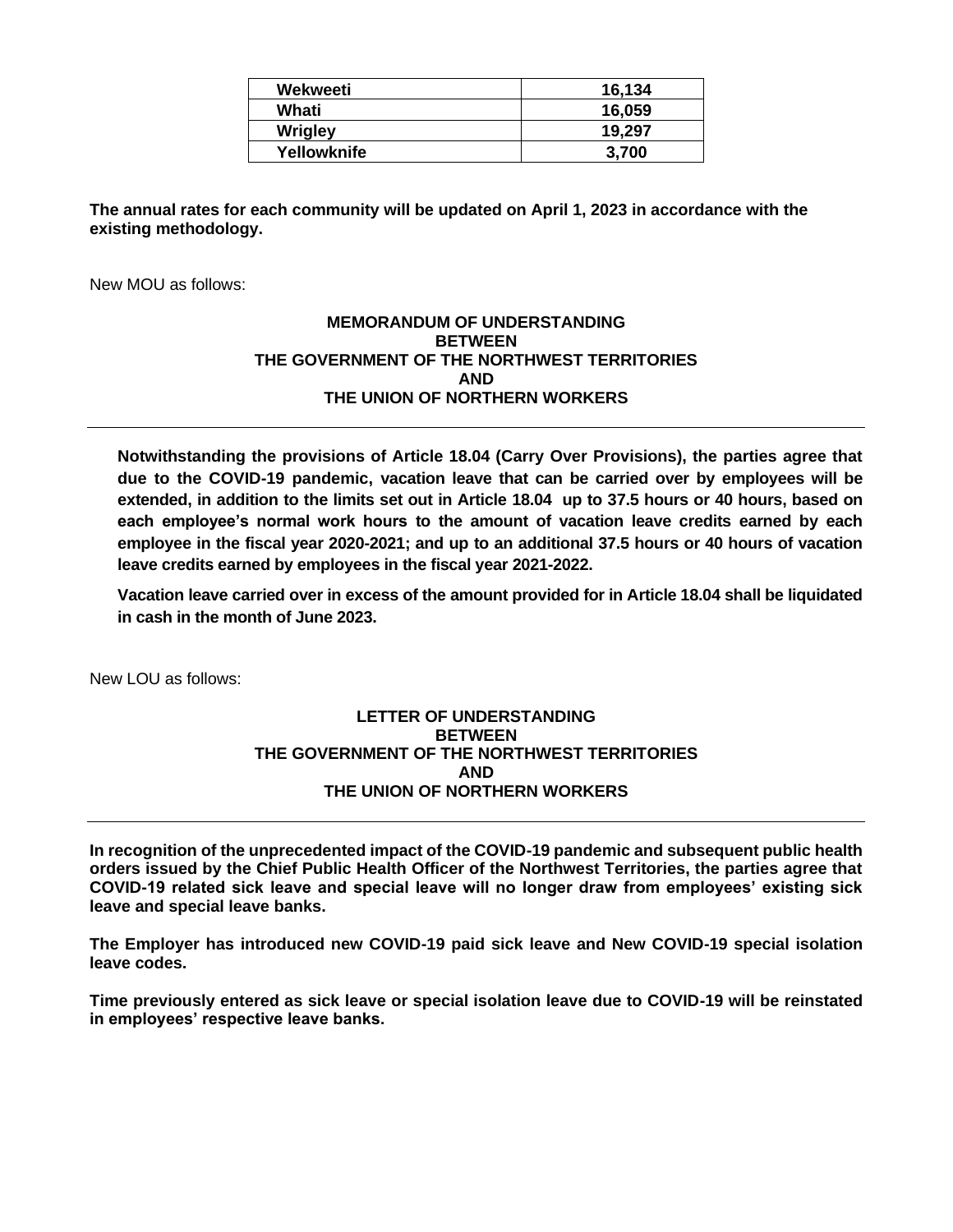| Wekweeti       | 16.134 |
|----------------|--------|
| Whati          | 16.059 |
| <b>Wrigley</b> | 19.297 |
| Yellowknife    | 3,700  |

**The annual rates for each community will be updated on April 1, 2023 in accordance with the existing methodology.**

New MOU as follows:

## **MEMORANDUM OF UNDERSTANDING BETWEEN THE GOVERNMENT OF THE NORTHWEST TERRITORIES AND THE UNION OF NORTHERN WORKERS**

**Notwithstanding the provisions of Article 18.04 (Carry Over Provisions), the parties agree that due to the COVID-19 pandemic, vacation leave that can be carried over by employees will be extended, in addition to the limits set out in Article 18.04 up to 37.5 hours or 40 hours, based on each employee's normal work hours to the amount of vacation leave credits earned by each employee in the fiscal year 2020-2021; and up to an additional 37.5 hours or 40 hours of vacation leave credits earned by employees in the fiscal year 2021-2022.**

**Vacation leave carried over in excess of the amount provided for in Article 18.04 shall be liquidated in cash in the month of June 2023.**

New LOU as follows:

### **LETTER OF UNDERSTANDING BETWEEN THE GOVERNMENT OF THE NORTHWEST TERRITORIES AND THE UNION OF NORTHERN WORKERS**

**In recognition of the unprecedented impact of the COVID-19 pandemic and subsequent public health orders issued by the Chief Public Health Officer of the Northwest Territories, the parties agree that COVID-19 related sick leave and special leave will no longer draw from employees' existing sick leave and special leave banks.**

**The Employer has introduced new COVID-19 paid sick leave and New COVID-19 special isolation leave codes.** 

**Time previously entered as sick leave or special isolation leave due to COVID-19 will be reinstated in employees' respective leave banks.**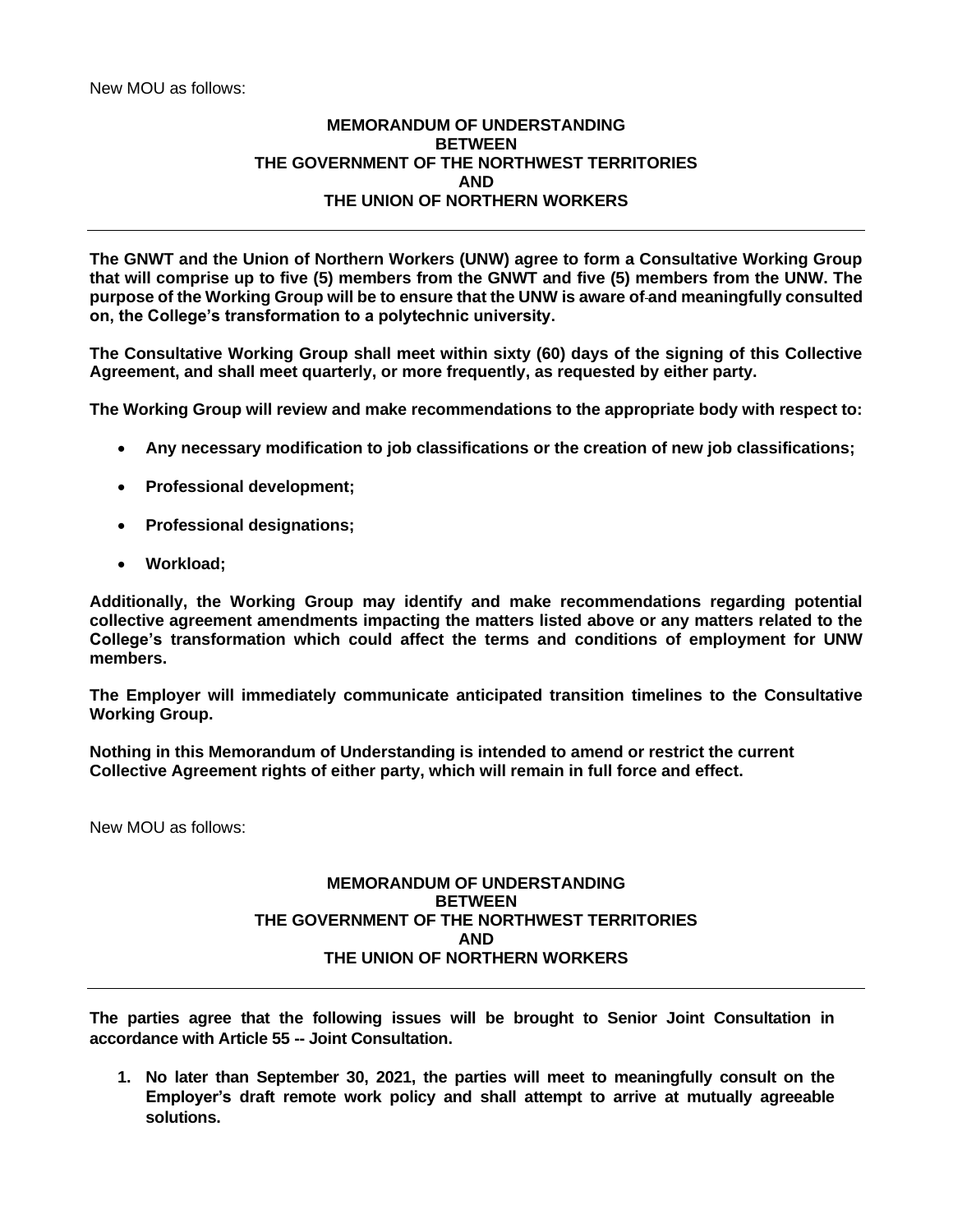# **MEMORANDUM OF UNDERSTANDING BETWEEN THE GOVERNMENT OF THE NORTHWEST TERRITORIES AND THE UNION OF NORTHERN WORKERS**

**The GNWT and the Union of Northern Workers (UNW) agree to form a Consultative Working Group that will comprise up to five (5) members from the GNWT and five (5) members from the UNW. The purpose of the Working Group will be to ensure that the UNW is aware of and meaningfully consulted on, the College's transformation to a polytechnic university.**

**The Consultative Working Group shall meet within sixty (60) days of the signing of this Collective Agreement, and shall meet quarterly, or more frequently, as requested by either party.**

**The Working Group will review and make recommendations to the appropriate body with respect to:**

- **Any necessary modification to job classifications or the creation of new job classifications;**
- **Professional development;**
- **Professional designations;**
- **Workload;**

**Additionally, the Working Group may identify and make recommendations regarding potential collective agreement amendments impacting the matters listed above or any matters related to the College's transformation which could affect the terms and conditions of employment for UNW members.**

**The Employer will immediately communicate anticipated transition timelines to the Consultative Working Group.** 

**Nothing in this Memorandum of Understanding is intended to amend or restrict the current Collective Agreement rights of either party, which will remain in full force and effect.**

New MOU as follows:

### **MEMORANDUM OF UNDERSTANDING BETWEEN THE GOVERNMENT OF THE NORTHWEST TERRITORIES AND THE UNION OF NORTHERN WORKERS**

**The parties agree that the following issues will be brought to Senior Joint Consultation in accordance with Article 55 -- Joint Consultation.**

**1. No later than September 30, 2021, the parties will meet to meaningfully consult on the Employer's draft remote work policy and shall attempt to arrive at mutually agreeable solutions.**